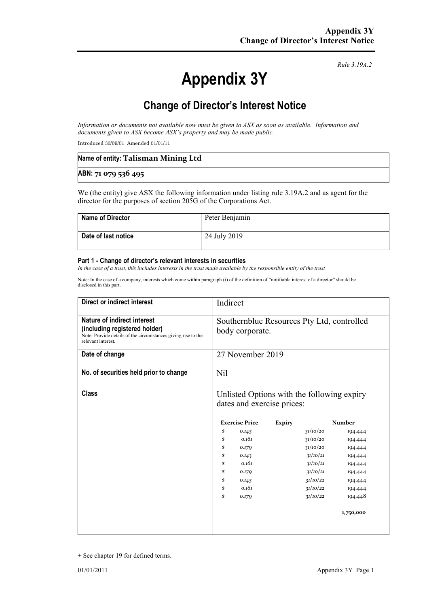# **Appendix 3Y**

*Rule 3.19A.2*

# **Change of Director's Interest Notice**

*Information or documents not available now must be given to ASX as soon as available. Information and documents given to ASX become ASX's property and may be made public.*

Introduced 30/09/01 Amended 01/01/11

| Name of entity: Talisman Mining Ltd |  |
|-------------------------------------|--|
| ABN: 71 079 536 495                 |  |

We (the entity) give ASX the following information under listing rule 3.19A.2 and as agent for the director for the purposes of section 205G of the Corporations Act.

| <b>Name of Director</b> | Peter Benjamin |
|-------------------------|----------------|
| Date of last notice     | 24 July 2019   |

#### **Part 1 - Change of director's relevant interests in securities**

*In the case of a trust, this includes interests in the trust made available by the responsible entity of the trust*

Note: In the case of a company, interests which come within paragraph (i) of the definition of "notifiable interest of a director" should be disclosed in this part.

| Direct or indirect interest                                                                                                                         | Indirect                                                                 |                       |               |          |               |
|-----------------------------------------------------------------------------------------------------------------------------------------------------|--------------------------------------------------------------------------|-----------------------|---------------|----------|---------------|
| Nature of indirect interest<br>(including registered holder)<br>Note: Provide details of the circumstances giving rise to the<br>relevant interest. | Southernblue Resources Pty Ltd, controlled<br>body corporate.            |                       |               |          |               |
| Date of change                                                                                                                                      | 27 November 2019                                                         |                       |               |          |               |
| No. of securities held prior to change                                                                                                              | Nil                                                                      |                       |               |          |               |
| <b>Class</b>                                                                                                                                        | Unlisted Options with the following expiry<br>dates and exercise prices: |                       |               |          |               |
|                                                                                                                                                     |                                                                          | <b>Exercise Price</b> | <b>Expiry</b> |          | <b>Number</b> |
|                                                                                                                                                     | \$                                                                       | 0.143                 |               | 31/10/20 | 194,444       |
|                                                                                                                                                     | \$                                                                       | 0.161                 |               | 31/10/20 | 194,444       |
|                                                                                                                                                     | \$                                                                       | 0.179                 |               | 31/10/20 | 194,444       |
|                                                                                                                                                     | \$                                                                       | 0.143                 |               | 31/10/21 | 194,444       |
|                                                                                                                                                     | \$                                                                       | 0.161                 |               | 31/10/21 | 194,444       |
|                                                                                                                                                     | \$                                                                       | 0.179                 |               | 31/10/21 | 194,444       |
|                                                                                                                                                     | \$                                                                       | 0.143                 |               | 31/10/22 | 194,444       |
|                                                                                                                                                     | \$                                                                       | 0.161                 |               | 31/10/22 | 194,444       |
|                                                                                                                                                     | \$                                                                       | 0.179                 |               | 31/10/22 | 194,448       |
|                                                                                                                                                     |                                                                          |                       |               |          | 1,750,000     |
|                                                                                                                                                     |                                                                          |                       |               |          |               |

<sup>+</sup> See chapter 19 for defined terms.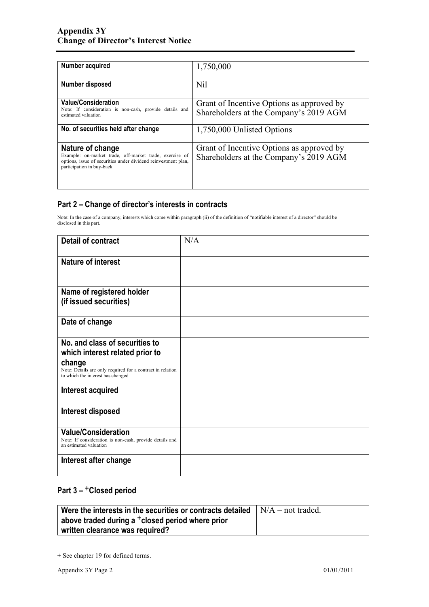| Number acquired                                                                                                                                                            | 1,750,000                                                                           |
|----------------------------------------------------------------------------------------------------------------------------------------------------------------------------|-------------------------------------------------------------------------------------|
| <b>Number disposed</b>                                                                                                                                                     | Nil                                                                                 |
| <b>Value/Consideration</b><br>Note: If consideration is non-cash, provide details and<br>estimated valuation                                                               | Grant of Incentive Options as approved by<br>Shareholders at the Company's 2019 AGM |
| No. of securities held after change                                                                                                                                        | 1,750,000 Unlisted Options                                                          |
| Nature of change<br>Example: on-market trade, off-market trade, exercise of<br>options, issue of securities under dividend reinvestment plan,<br>participation in buy-back | Grant of Incentive Options as approved by<br>Shareholders at the Company's 2019 AGM |

### **Part 2 – Change of director's interests in contracts**

Note: In the case of a company, interests which come within paragraph (ii) of the definition of "notifiable interest of a director" should be disclosed in this part.

| <b>Detail of contract</b>                                                                                                                                                      | N/A |
|--------------------------------------------------------------------------------------------------------------------------------------------------------------------------------|-----|
| <b>Nature of interest</b>                                                                                                                                                      |     |
| Name of registered holder<br>(if issued securities)                                                                                                                            |     |
| Date of change                                                                                                                                                                 |     |
| No. and class of securities to<br>which interest related prior to<br>change<br>Note: Details are only required for a contract in relation<br>to which the interest has changed |     |
| Interest acquired                                                                                                                                                              |     |
| Interest disposed                                                                                                                                                              |     |
| <b>Value/Consideration</b><br>Note: If consideration is non-cash, provide details and<br>an estimated valuation                                                                |     |
| Interest after change                                                                                                                                                          |     |

## **Part 3 –** +**Closed period**

| Were the interests in the securities or contracts detailed   | $\vert N/A - \text{not traded.} \vert$ |
|--------------------------------------------------------------|----------------------------------------|
| above traded during a <sup>+</sup> closed period where prior |                                        |
| written clearance was required?                              |                                        |

<sup>+</sup> See chapter 19 for defined terms.